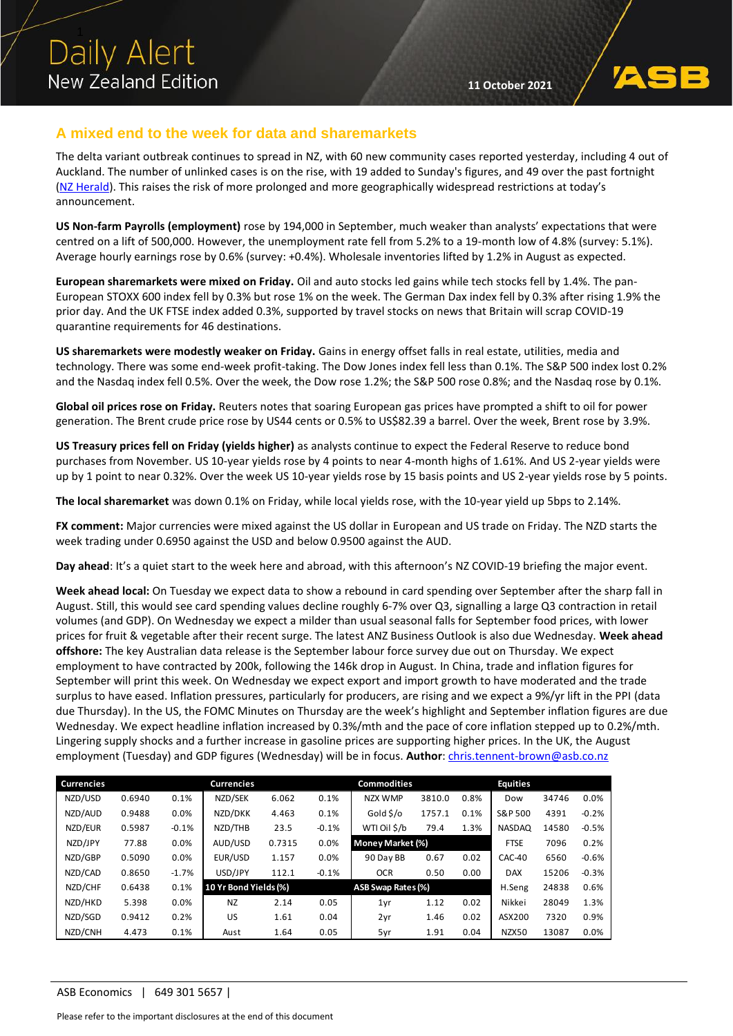### **A mixed end to the week for data and sharemarkets**

The delta variant outbreak continues to spread in NZ, with 60 new community cases reported yesterday, including 4 out of Auckland. The number of unlinked cases is on the rise, with 19 added to Sunday's figures, and 49 over the past fortnight [\(NZ Herald\)](https://www.nzherald.co.nz/nz/covid-19-delta-outbreak-d-day-for-auckland-alert-level-phase-cabinet-meets-after-60-new-cases/DJH7LAK7UEHIFEM4M32FSYCN3I/). This raises the risk of more prolonged and more geographically widespread restrictions at today's announcement.

**US Non-farm Payrolls (employment)** rose by 194,000 in September, much weaker than analysts' expectations that were centred on a lift of 500,000. However, the unemployment rate fell from 5.2% to a 19-month low of 4.8% (survey: 5.1%). Average hourly earnings rose by 0.6% (survey: +0.4%). Wholesale inventories lifted by 1.2% in August as expected.

**European sharemarkets were mixed on Friday.** Oil and auto stocks led gains while tech stocks fell by 1.4%. The pan-European STOXX 600 index fell by 0.3% but rose 1% on the week. The German Dax index fell by 0.3% after rising 1.9% the prior day. And the UK FTSE index added 0.3%, supported by travel stocks on news that Britain will scrap COVID-19 quarantine requirements for 46 destinations.

**US sharemarkets were modestly weaker on Friday.** Gains in energy offset falls in real estate, utilities, media and technology. There was some end-week profit-taking. The Dow Jones index fell less than 0.1%. The S&P 500 index lost 0.2% and the Nasdaq index fell 0.5%. Over the week, the Dow rose 1.2%; the S&P 500 rose 0.8%; and the Nasdaq rose by 0.1%.

**Global oil prices rose on Friday.** Reuters notes that soaring European gas prices have prompted a shift to oil for power generation. The Brent crude price rose by US44 cents or 0.5% to US\$82.39 a barrel. Over the week, Brent rose by 3.9%.

**US Treasury prices fell on Friday (yields higher)** as analysts continue to expect the Federal Reserve to reduce bond purchases from November. US 10-year yields rose by 4 points to near 4-month highs of 1.61%. And US 2-year yields were up by 1 point to near 0.32%. Over the week US 10-year yields rose by 15 basis points and US 2-year yields rose by 5 points.

**The local sharemarket** was down 0.1% on Friday, while local yields rose, with the 10-year yield up 5bps to 2.14%.

**FX comment:** Major currencies were mixed against the US dollar in European and US trade on Friday. The NZD starts the week trading under 0.6950 against the USD and below 0.9500 against the AUD.

**Day ahead**: It's a quiet start to the week here and abroad, with this afternoon's NZ COVID-19 briefing the major event.

**Week ahead local:** On Tuesday we expect data to show a rebound in card spending over September after the sharp fall in August. Still, this would see card spending values decline roughly 6-7% over Q3, signalling a large Q3 contraction in retail volumes (and GDP). On Wednesday we expect a milder than usual seasonal falls for September food prices, with lower prices for fruit & vegetable after their recent surge. The latest ANZ Business Outlook is also due Wednesday. **Week ahead offshore:** The key Australian data release is the September labour force survey due out on Thursday. We expect employment to have contracted by 200k, following the 146k drop in August. In China, trade and inflation figures for September will print this week. On Wednesday we expect export and import growth to have moderated and the trade surplus to have eased. Inflation pressures, particularly for producers, are rising and we expect a 9%/yr lift in the PPI (data due Thursday). In the US, the FOMC Minutes on Thursday are the week's highlight and September inflation figures are due Wednesday. We expect headline inflation increased by 0.3%/mth and the pace of core inflation stepped up to 0.2%/mth. Lingering supply shocks and a further increase in gasoline prices are supporting higher prices. In the UK, the August employment (Tuesday) and GDP figures (Wednesday) will be in focus. **Author**: [chris.tennent-brown@asb.co.nz](mailto:chris.tennent-brown@asb.co.nz)

| <b>Currencies</b> |        |         | <b>Currencies</b>     |        |         | <b>Commodities</b>        |        |             | <b>Equities</b> |       |         |
|-------------------|--------|---------|-----------------------|--------|---------|---------------------------|--------|-------------|-----------------|-------|---------|
| NZD/USD           | 0.6940 | 0.1%    | NZD/SEK               | 6.062  | 0.1%    | NZX WMP                   | 3810.0 | 0.8%        | Dow             | 34746 | 0.0%    |
| NZD/AUD           | 0.9488 | 0.0%    | NZD/DKK               | 4.463  | 0.1%    | Gold \$/o                 | 1757.1 | 0.1%        | S&P 500         | 4391  | $-0.2%$ |
| NZD/EUR           | 0.5987 | $-0.1%$ | NZD/THB               | 23.5   | $-0.1%$ | WTI Oil \$/b              | 79.4   | 1.3%        | <b>NASDAQ</b>   | 14580 | $-0.5%$ |
| NZD/JPY           | 77.88  | 0.0%    | AUD/USD               | 0.7315 | 0.0%    | Money Market (%)          |        | <b>FTSE</b> | 7096            | 0.2%  |         |
| NZD/GBP           | 0.5090 | 0.0%    | EUR/USD               | 1.157  | 0.0%    | 90 Day BB                 | 0.67   | 0.02        | CAC-40          | 6560  | $-0.6%$ |
| NZD/CAD           | 0.8650 | $-1.7%$ | USD/JPY               | 112.1  | $-0.1%$ | <b>OCR</b>                | 0.50   | 0.00        | <b>DAX</b>      | 15206 | $-0.3%$ |
| NZD/CHF           | 0.6438 | 0.1%    | 10 Yr Bond Yields (%) |        |         | <b>ASB Swap Rates (%)</b> |        |             | H.Seng          | 24838 | 0.6%    |
| NZD/HKD           | 5.398  | 0.0%    | <b>NZ</b>             | 2.14   | 0.05    | 1yr                       | 1.12   | 0.02        | Nikkei          | 28049 | 1.3%    |
| NZD/SGD           | 0.9412 | 0.2%    | US                    | 1.61   | 0.04    | 2yr                       | 1.46   | 0.02        | ASX200          | 7320  | 0.9%    |
| NZD/CNH           | 4.473  | 0.1%    | Aust                  | 1.64   | 0.05    | 5yr                       | 1.91   | 0.04        | NZX50           | 13087 | 0.0%    |